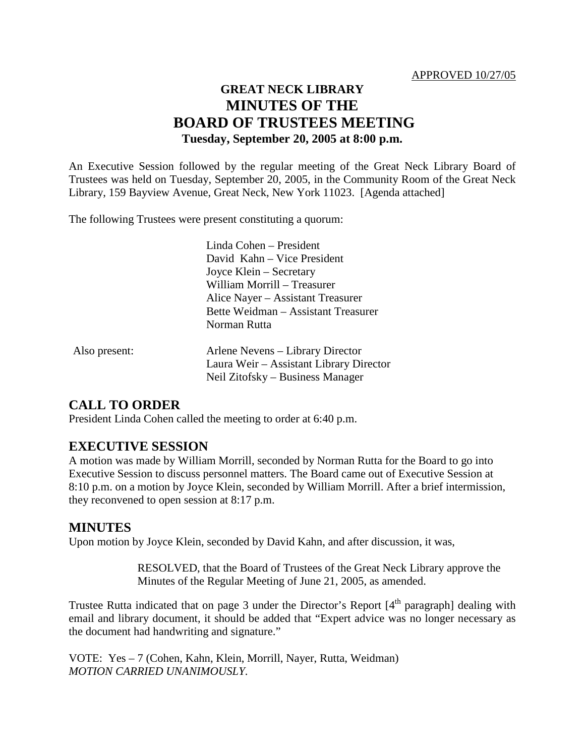#### APPROVED 10/27/05

# **GREAT NECK LIBRARY MINUTES OF THE BOARD OF TRUSTEES MEETING Tuesday, September 20, 2005 at 8:00 p.m.**

An Executive Session followed by the regular meeting of the Great Neck Library Board of Trustees was held on Tuesday, September 20, 2005, in the Community Room of the Great Neck Library, 159 Bayview Avenue, Great Neck, New York 11023. [Agenda attached]

The following Trustees were present constituting a quorum:

|               | Linda Cohen – President                 |
|---------------|-----------------------------------------|
|               | David Kahn – Vice President             |
|               | Joyce Klein – Secretary                 |
|               | William Morrill – Treasurer             |
|               | Alice Nayer – Assistant Treasurer       |
|               | Bette Weidman - Assistant Treasurer     |
|               | Norman Rutta                            |
| Also present: | Arlene Nevens – Library Director        |
|               | Laura Weir – Assistant Library Director |
|               | Neil Zitofsky – Business Manager        |

### **CALL TO ORDER**

President Linda Cohen called the meeting to order at 6:40 p.m.

### **EXECUTIVE SESSION**

A motion was made by William Morrill, seconded by Norman Rutta for the Board to go into Executive Session to discuss personnel matters. The Board came out of Executive Session at 8:10 p.m. on a motion by Joyce Klein, seconded by William Morrill. After a brief intermission, they reconvened to open session at 8:17 p.m.

### **MINUTES**

Upon motion by Joyce Klein, seconded by David Kahn, and after discussion, it was,

RESOLVED, that the Board of Trustees of the Great Neck Library approve the Minutes of the Regular Meeting of June 21, 2005, as amended.

Trustee Rutta indicated that on page 3 under the Director's Report [4<sup>th</sup> paragraph] dealing with email and library document, it should be added that "Expert advice was no longer necessary as the document had handwriting and signature."

VOTE:Yes – 7 (Cohen, Kahn, Klein, Morrill, Nayer, Rutta, Weidman) *MOTION CARRIED UNANIMOUSLY.*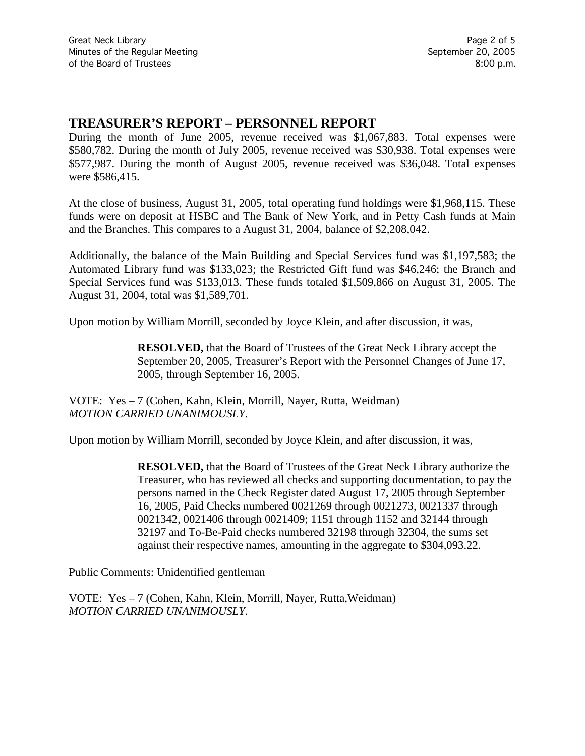### **TREASURER'S REPORT – PERSONNEL REPORT**

During the month of June 2005, revenue received was \$1,067,883. Total expenses were \$580,782. During the month of July 2005, revenue received was \$30,938. Total expenses were \$577,987. During the month of August 2005, revenue received was \$36,048. Total expenses were \$586,415.

At the close of business, August 31, 2005, total operating fund holdings were \$1,968,115. These funds were on deposit at HSBC and The Bank of New York, and in Petty Cash funds at Main and the Branches. This compares to a August 31, 2004, balance of \$2,208,042.

Additionally, the balance of the Main Building and Special Services fund was \$1,197,583; the Automated Library fund was \$133,023; the Restricted Gift fund was \$46,246; the Branch and Special Services fund was \$133,013. These funds totaled \$1,509,866 on August 31, 2005. The August 31, 2004, total was \$1,589,701.

Upon motion by William Morrill, seconded by Joyce Klein, and after discussion, it was,

**RESOLVED,** that the Board of Trustees of the Great Neck Library accept the September 20, 2005, Treasurer's Report with the Personnel Changes of June 17, 2005, through September 16, 2005.

VOTE:Yes – 7 (Cohen, Kahn, Klein, Morrill, Nayer, Rutta, Weidman) *MOTION CARRIED UNANIMOUSLY.*

Upon motion by William Morrill, seconded by Joyce Klein, and after discussion, it was,

**RESOLVED,** that the Board of Trustees of the Great Neck Library authorize the Treasurer, who has reviewed all checks and supporting documentation, to pay the persons named in the Check Register dated August 17, 2005 through September 16, 2005, Paid Checks numbered 0021269 through 0021273, 0021337 through 0021342, 0021406 through 0021409; 1151 through 1152 and 32144 through 32197 and To-Be-Paid checks numbered 32198 through 32304, the sums set against their respective names, amounting in the aggregate to \$304,093.22.

Public Comments: Unidentified gentleman

VOTE:Yes – 7 (Cohen, Kahn, Klein, Morrill, Nayer, Rutta,Weidman) *MOTION CARRIED UNANIMOUSLY.*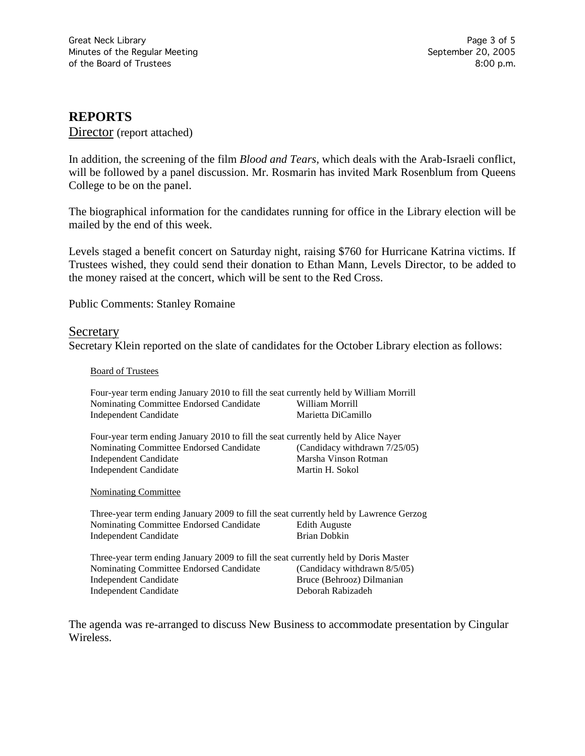## **REPORTS**

Director (report attached)

In addition, the screening of the film *Blood and Tears,* which deals with the Arab-Israeli conflict, will be followed by a panel discussion. Mr. Rosmarin has invited Mark Rosenblum from Queens College to be on the panel.

The biographical information for the candidates running for office in the Library election will be mailed by the end of this week.

Levels staged a benefit concert on Saturday night, raising \$760 for Hurricane Katrina victims. If Trustees wished, they could send their donation to Ethan Mann, Levels Director, to be added to the money raised at the concert, which will be sent to the Red Cross.

Public Comments: Stanley Romaine

#### Secretary

Secretary Klein reported on the slate of candidates for the October Library election as follows:

Board of Trustees

| Four-year term ending January 2010 to fill the seat currently held by William Morrill  |                               |  |
|----------------------------------------------------------------------------------------|-------------------------------|--|
| Nominating Committee Endorsed Candidate                                                | William Morrill               |  |
| <b>Independent Candidate</b>                                                           | Marietta DiCamillo            |  |
| Four-year term ending January 2010 to fill the seat currently held by Alice Nayer      |                               |  |
| Nominating Committee Endorsed Candidate                                                | (Candidacy withdrawn 7/25/05) |  |
| <b>Independent Candidate</b>                                                           | Marsha Vinson Rotman          |  |
| <b>Independent Candidate</b>                                                           | Martin H. Sokol               |  |
| <b>Nominating Committee</b>                                                            |                               |  |
| Three-year term ending January 2009 to fill the seat currently held by Lawrence Gerzog |                               |  |
| Nominating Committee Endorsed Candidate                                                | <b>Edith Auguste</b>          |  |
| <b>Independent Candidate</b>                                                           | <b>Brian Dobkin</b>           |  |
| Three-year term ending January 2009 to fill the seat currently held by Doris Master    |                               |  |
| Nominating Committee Endorsed Candidate                                                | (Candidacy withdrawn 8/5/05)  |  |
| <b>Independent Candidate</b>                                                           | Bruce (Behrooz) Dilmanian     |  |
| <b>Independent Candidate</b>                                                           | Deborah Rabizadeh             |  |

The agenda was re-arranged to discuss New Business to accommodate presentation by Cingular Wireless.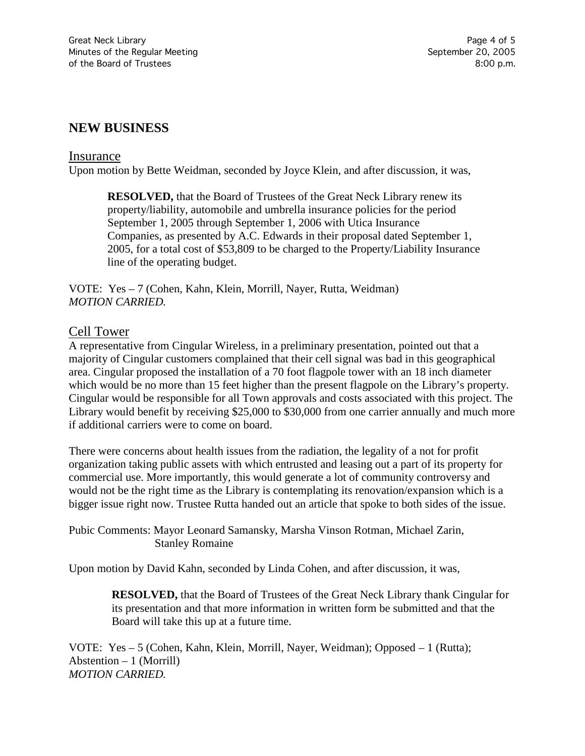## **NEW BUSINESS**

#### Insurance

Upon motion by Bette Weidman, seconded by Joyce Klein, and after discussion, it was,

**RESOLVED,** that the Board of Trustees of the Great Neck Library renew its property/liability, automobile and umbrella insurance policies for the period September 1, 2005 through September 1, 2006 with Utica Insurance Companies, as presented by A.C. Edwards in their proposal dated September 1, 2005, for a total cost of \$53,809 to be charged to the Property/Liability Insurance line of the operating budget.

VOTE:Yes – 7 (Cohen, Kahn, Klein, Morrill, Nayer, Rutta, Weidman) *MOTION CARRIED.*

### Cell Tower

A representative from Cingular Wireless, in a preliminary presentation, pointed out that a majority of Cingular customers complained that their cell signal was bad in this geographical area. Cingular proposed the installation of a 70 foot flagpole tower with an 18 inch diameter which would be no more than 15 feet higher than the present flagpole on the Library's property. Cingular would be responsible for all Town approvals and costs associated with this project. The Library would benefit by receiving \$25,000 to \$30,000 from one carrier annually and much more if additional carriers were to come on board.

There were concerns about health issues from the radiation, the legality of a not for profit organization taking public assets with which entrusted and leasing out a part of its property for commercial use. More importantly, this would generate a lot of community controversy and would not be the right time as the Library is contemplating its renovation/expansion which is a bigger issue right now. Trustee Rutta handed out an article that spoke to both sides of the issue.

Pubic Comments: Mayor Leonard Samansky, Marsha Vinson Rotman, Michael Zarin, Stanley Romaine

Upon motion by David Kahn, seconded by Linda Cohen, and after discussion, it was,

**RESOLVED,** that the Board of Trustees of the Great Neck Library thank Cingular for its presentation and that more information in written form be submitted and that the Board will take this up at a future time.

VOTE:Yes – 5 (Cohen, Kahn, Klein, Morrill, Nayer, Weidman); Opposed – 1 (Rutta); Abstention – 1 (Morrill) *MOTION CARRIED.*